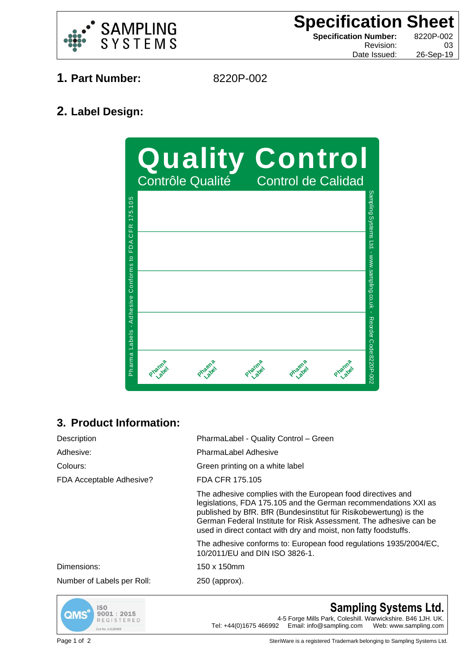

**Specification Sheet Specification Number:** 8220P-002 Revision: 03

Date Issued: 26-Sep-19

- **1. Part Number:** 8220P-002
	-

## **2. Label Design:**



## **3. Product Information:**

| Description                | PharmaLabel - Quality Control - Green                                                                                                                                                                                                                                                                                                        |
|----------------------------|----------------------------------------------------------------------------------------------------------------------------------------------------------------------------------------------------------------------------------------------------------------------------------------------------------------------------------------------|
| Adhesive:                  | <b>PharmaLabel Adhesive</b>                                                                                                                                                                                                                                                                                                                  |
| Colours:                   | Green printing on a white label                                                                                                                                                                                                                                                                                                              |
| FDA Acceptable Adhesive?   | FDA CFR 175.105                                                                                                                                                                                                                                                                                                                              |
|                            | The adhesive complies with the European food directives and<br>legislations, FDA 175.105 and the German recommendations XXI as<br>published by BfR. BfR (Bundesinstitut für Risikobewertung) is the<br>German Federal Institute for Risk Assessment. The adhesive can be<br>used in direct contact with dry and moist, non fatty foodstuffs. |
|                            | The adhesive conforms to: European food regulations 1935/2004/EC,<br>10/2011/EU and DIN ISO 3826-1.                                                                                                                                                                                                                                          |
| Dimensions:                | 150 x 150mm                                                                                                                                                                                                                                                                                                                                  |
| Number of Labels per Roll: | 250 (approx).                                                                                                                                                                                                                                                                                                                                |



**Sampling Systems Ltd.** 4-5 Forge Mills Park, Coleshill. Warwickshire. B46 1JH. UK.<br>Tel: +44(0)1675 466992 Email: info@sampling.com Web: www.sampling.com Email: info@sampling.com